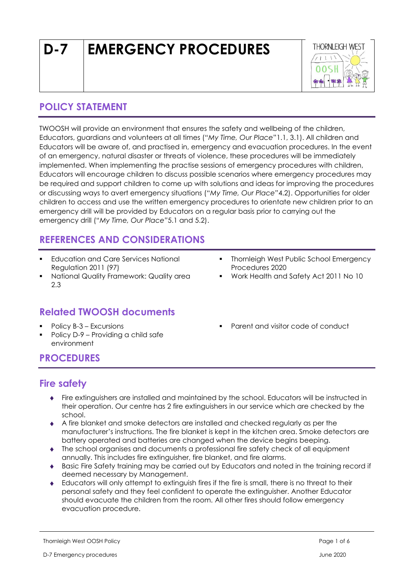# **D-7 EMERGENCY PROCEDURES**



# **POLICY STATEMENT**

TWOOSH will provide an environment that ensures the safety and wellbeing of the children, Educators, guardians and volunteers at all times ("*My Time, Our Place*"1.1, 3.1). All children and Educators will be aware of, and practised in, emergency and evacuation procedures. In the event of an emergency, natural disaster or threats of violence, these procedures will be immediately implemented. When implementing the practise sessions of emergency procedures with children, Educators will encourage children to discuss possible scenarios where emergency procedures may be required and support children to come up with solutions and ideas for improving the procedures or discussing ways to avert emergency situations ("*My Time, Our Place"*4.2). Opportunities for older children to access and use the written emergency procedures to orientate new children prior to an emergency drill will be provided by Educators on a regular basis prior to carrying out the emergency drill ("*My Time, Our Place"*5.1 and 5.2).

# **REFERENCES AND CONSIDERATIONS**

- **Education and Care Services National** Regulation 2011 (97)
- National Quality Framework: Quality area 2.3

# **Related TWOOSH documents**

- Policy B-3 Excursions
- Policy D-9 Providing a child safe environment
- **Thornleigh West Public School Emergency** Procedures 2020
- Work Health and Safety Act 2011 No 10
- Parent and visitor code of conduct

# **PROCEDURES**

# **Fire safety**

- Fire extinguishers are installed and maintained by the school. Educators will be instructed in their operation. Our centre has 2 fire extinguishers in our service which are checked by the school.
- A fire blanket and smoke detectors are installed and checked regularly as per the manufacturer's instructions. The fire blanket is kept in the kitchen area. Smoke detectors are battery operated and batteries are changed when the device begins beeping.
- The school organises and documents a professional fire safety check of all equipment annually. This includes fire extinguisher, fire blanket, and fire alarms.
- Basic Fire Safety training may be carried out by Educators and noted in the training record if deemed necessary by Management.
- Educators will only attempt to extinguish fires if the fire is small, there is no threat to their personal safety and they feel confident to operate the extinguisher. Another Educator should evacuate the children from the room. All other fires should follow emergency evacuation procedure.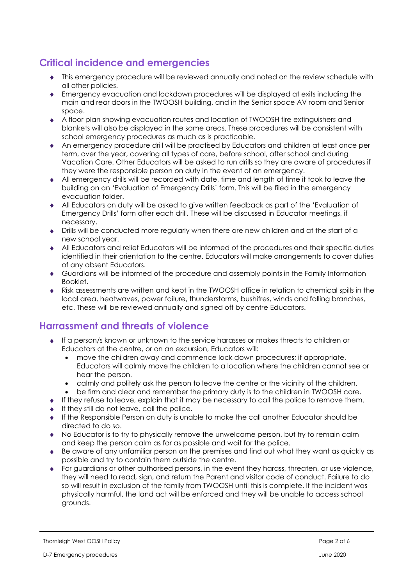# **Critical incidence and emergencies**

- This emergency procedure will be reviewed annually and noted on the review schedule with all other policies.
- Emergency evacuation and lockdown procedures will be displayed at exits including the main and rear doors in the TWOOSH building, and in the Senior space AV room and Senior space.
- A floor plan showing evacuation routes and location of TWOOSH fire extinguishers and blankets will also be displayed in the same areas. These procedures will be consistent with school emergency procedures as much as is practicable.
- An emergency procedure drill will be practised by Educators and children at least once per term, over the year, covering all types of care, before school, after school and during Vacation Care. Other Educators will be asked to run drills so they are aware of procedures if they were the responsible person on duty in the event of an emergency.
- All emergency drills will be recorded with date, time and length of time it took to leave the building on an 'Evaluation of Emergency Drills' form. This will be filed in the emergency evacuation folder.
- All Educators on duty will be asked to give written feedback as part of the 'Evaluation of Emergency Drills' form after each drill. These will be discussed in Educator meetings, if necessary.
- Drills will be conducted more regularly when there are new children and at the start of a new school year.
- All Educators and relief Educators will be informed of the procedures and their specific duties identified in their orientation to the centre. Educators will make arrangements to cover duties of any absent Educators.
- Guardians will be informed of the procedure and assembly points in the Family Information Booklet.
- Risk assessments are written and kept in the TWOOSH office in relation to chemical spills in the local area, heatwaves, power failure, thunderstorms, bushifres, winds and falling branches, etc. These will be reviewed annually and signed off by centre Educators.

# **Harrassment and threats of violence**

- If a person/s known or unknown to the service harasses or makes threats to children or Educators at the centre, or on an excursion, Educators will:
	- move the children away and commence lock down procedures; if appropriate, Educators will calmly move the children to a location where the children cannot see or hear the person.
	- calmly and politely ask the person to leave the centre or the vicinity of the children. • be firm and clear and remember the primary duty is to the children in TWOOSH care.
- $\bullet$  If they refuse to leave, explain that it may be necessary to call the police to remove them.
- $\bullet$  If they still do not leave, call the police.
- If the Responsible Person on duty is unable to make the call another Educator should be directed to do so.
- No Educator is to try to physically remove the unwelcome person, but try to remain calm and keep the person calm as far as possible and wait for the police.
- Be aware of any unfamiliar person on the premises and find out what they want as quickly as possible and try to contain them outside the centre.
- For guardians or other authorised persons, in the event they harass, threaten, or use violence, they will need to read, sign, and return the Parent and visitor code of conduct. Failure to do so will result in exclusion of the family from TWOOSH until this is complete. If the incident was physically harmful, the land act will be enforced and they will be unable to access school grounds.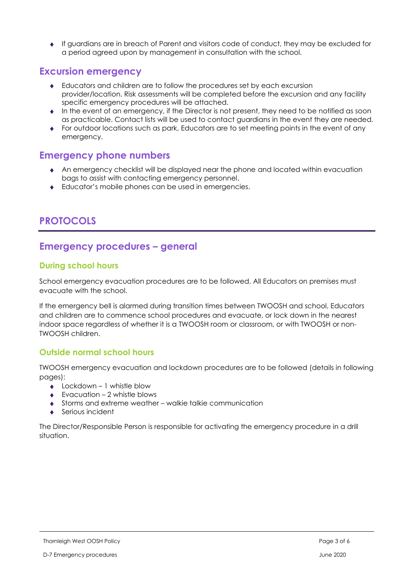If guardians are in breach of Parent and visitors code of conduct, they may be excluded for a period agreed upon by management in consultation with the school.

### **Excursion emergency**

- Educators and children are to follow the procedures set by each excursion provider/location. Risk assessments will be completed before the excursion and any facility specific emergency procedures will be attached.
- $\bullet$  In the event of an emergency, if the Director is not present, they need to be notified as soon as practicable. Contact lists will be used to contact guardians in the event they are needed.
- For outdoor locations such as park, Educators are to set meeting points in the event of any emergency.

# **Emergency phone numbers**

- An emergency checklist will be displayed near the phone and located within evacuation bags to assist with contacting emergency personnel.
- ◆ Educator's mobile phones can be used in emergencies.

# **PROTOCOLS**

# **Emergency procedures – general**

#### **During school hours**

School emergency evacuation procedures are to be followed. All Educators on premises must evacuate with the school.

If the emergency bell is alarmed during transition times between TWOOSH and school, Educators and children are to commence school procedures and evacuate, or lock down in the nearest indoor space regardless of whether it is a TWOOSH room or classroom, or with TWOOSH or non-TWOOSH children.

#### **Outside normal school hours**

TWOOSH emergency evacuation and lockdown procedures are to be followed (details in following pages):

- $\triangle$  Lockdown 1 whistle blow
- Evacuation 2 whistle blows
- Storms and extreme weather walkie talkie communication
- Serious incident

The Director/Responsible Person is responsible for activating the emergency procedure in a drill situation.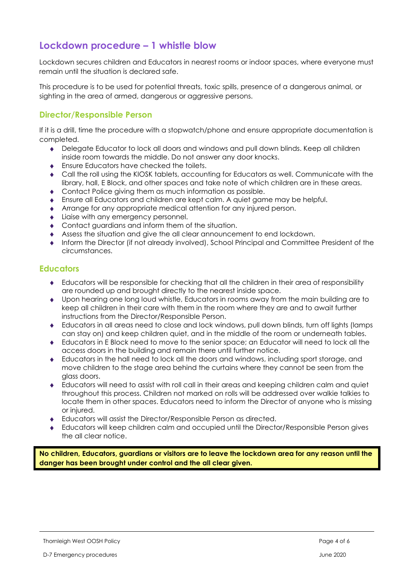# **Lockdown procedure – 1 whistle blow**

Lockdown secures children and Educators in nearest rooms or indoor spaces, where everyone must remain until the situation is declared safe.

This procedure is to be used for potential threats, toxic spills, presence of a dangerous animal, or sighting in the area of armed, dangerous or aggressive persons.

#### **Director/Responsible Person**

If it is a drill, time the procedure with a stopwatch/phone and ensure appropriate documentation is completed.

- Delegate Educator to lock all doors and windows and pull down blinds. Keep all children inside room towards the middle. Do not answer any door knocks.
- **Ensure Educators have checked the toilets.**
- Call the roll using the KIOSK tablets, accounting for Educators as well. Communicate with the library, hall, E Block, and other spaces and take note of which children are in these areas.
- Contact Police giving them as much information as possible.
- Ensure all Educators and children are kept calm. A quiet game may be helpful.
- Arrange for any appropriate medical attention for any injured person.
- Liaise with any emergency personnel.
- Contact guardians and inform them of the situation.
- Assess the situation and give the all clear announcement to end lockdown.
- Inform the Director (if not already involved), School Principal and Committee President of the circumstances.

#### **Educators**

- Educators will be responsible for checking that all the children in their area of responsibility are rounded up and brought directly to the nearest inside space.
- Upon hearing one long loud whistle, Educators in rooms away from the main building are to keep all children in their care with them in the room where they are and to await further instructions from the Director/Responsible Person.
- Educators in all areas need to close and lock windows, pull down blinds, turn off lights (lamps can stay on) and keep children quiet, and in the middle of the room or underneath tables.
- Educators in E Block need to move to the senior space; an Educator will need to lock all the access doors in the building and remain there until further notice.
- Educators in the hall need to lock all the doors and windows, including sport storage, and move children to the stage area behind the curtains where they cannot be seen from the glass doors.
- Educators will need to assist with roll call in their areas and keeping children calm and quiet throughout this process. Children not marked on rolls will be addressed over walkie talkies to locate them in other spaces. Educators need to inform the Director of anyone who is missing or injured.
- Educators will assist the Director/Responsible Person as directed.
- Educators will keep children calm and occupied until the Director/Responsible Person gives the all clear notice.

**No children, Educators, guardians or visitors are to leave the lockdown area for any reason until the danger has been brought under control and the all clear given.**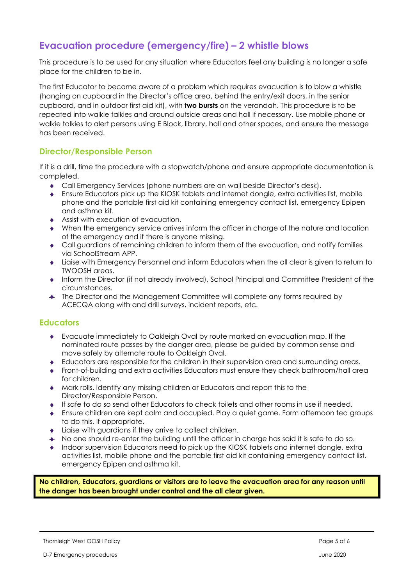# **Evacuation procedure (emergency/fire) – 2 whistle blows**

This procedure is to be used for any situation where Educators feel any building is no longer a safe place for the children to be in.

The first Educator to become aware of a problem which requires evacuation is to blow a whistle (hanging on cupboard in the Director's office area, behind the entry/exit doors, in the senior cupboard, and in outdoor first aid kit), with **two bursts** on the verandah. This procedure is to be repeated into walkie talkies and around outside areas and hall if necessary. Use mobile phone or walkie talkies to alert persons using E Block, library, hall and other spaces, and ensure the message has been received.

#### **Director/Responsible Person**

If it is a drill, time the procedure with a stopwatch/phone and ensure appropriate documentation is completed.

- Call Emergency Services (phone numbers are on wall beside Director's desk).
- Ensure Educators pick up the KIOSK tablets and internet dongle, extra activities list, mobile phone and the portable first aid kit containing emergency contact list, emergency Epipen and asthma kit.
- Assist with execution of evacuation.
- When the emergency service arrives inform the officer in charge of the nature and location of the emergency and if there is anyone missing.
- Call guardians of remaining children to inform them of the evacuation, and notify families via SchoolStream APP.
- Liaise with Emergency Personnel and inform Educators when the all clear is given to return to TWOOSH areas.
- Inform the Director (if not already involved), School Principal and Committee President of the circumstances.
- The Director and the Management Committee will complete any forms required by ACECQA along with and drill surveys, incident reports, etc.

#### **Educators**

- Evacuate immediately to Oakleigh Oval by route marked on evacuation map. If the nominated route passes by the danger area, please be guided by common sense and move safely by alternate route to Oakleigh Oval.
- Educators are responsible for the children in their supervision area and surrounding areas.
- Front-of-building and extra activities Educators must ensure they check bathroom/hall area for children.
- Mark rolls, identify any missing children or Educators and report this to the Director/Responsible Person.
- If safe to do so send other Educators to check toilets and other rooms in use if needed.
- Ensure children are kept calm and occupied. Play a quiet game. Form afternoon tea groups to do this, if appropriate.
- Liaise with guardians if they arrive to collect children.
- No one should re-enter the building until the officer in charge has said it is safe to do so.
- Indoor supervision Educators need to pick up the KIOSK tablets and internet dongle, extra activities list, mobile phone and the portable first aid kit containing emergency contact list, emergency Epipen and asthma kit.

**No children, Educators, guardians or visitors are to leave the evacuation area for any reason until the danger has been brought under control and the all clear given.**